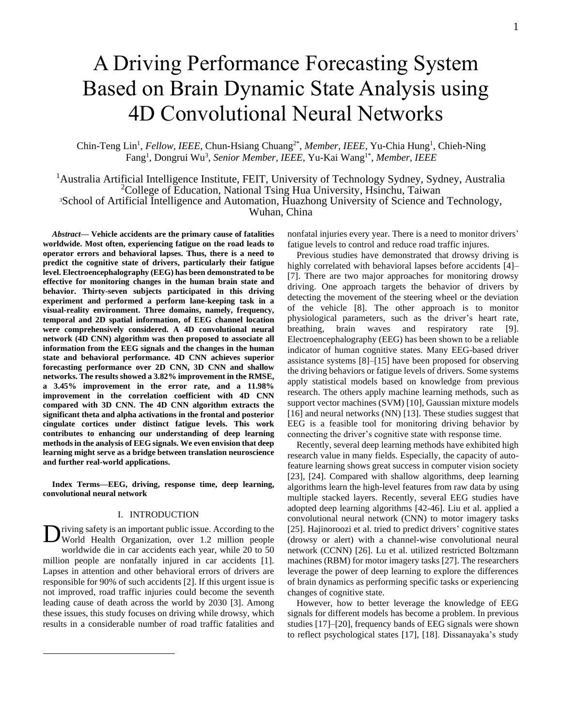# A Driving Performance Forecasting System Based on Brain Dynamic State Analysis using 4D Convolutional Neural Networks

Chin-Teng Lin<sup>1</sup>, *Fellow, IEEE*, Chun-Hsiang Chuang<sup>2\*</sup>, Member, IEEE, Yu-Chia Hung<sup>1</sup>, Chieh-Ning Fang<sup>1</sup>, Dongrui Wu<sup>3</sup>, Senior Member, IEEE, Yu-Kai Wang<sup>1\*</sup>, Member, IEEE

<sup>1</sup>Australia Artificial Intelligence Institute, FEIT, University of Technology Sydney, Sydney, Australia <sup>2</sup>College of Education, National Tsing Hua University, Hsinchu, Taiwan <sup>3</sup>School of Artificial Intelligence and Automation, Huazhong University of Science and Technology, Wuhan, China

*Abstract***— Vehicle accidents are the primary cause of fatalities worldwide. Most often, experiencing fatigue on the road leads to operator errors and behavioral lapses. Thus, there is a need to predict the cognitive state of drivers, particularly their fatigue level. Electroencephalography (EEG) has been demonstrated to be effective for monitoring changes in the human brain state and behavior. Thirty-seven subjects participated in this driving experiment and performed a perform lane-keeping task in a visual-reality environment. Three domains, namely, frequency, temporal and 2D spatial information, of EEG channel location were comprehensively considered. A 4D convolutional neural network (4D CNN) algorithm was then proposed to associate all information from the EEG signals and the changes in the human state and behavioral performance. 4D CNN achieves superior forecasting performance over 2D CNN, 3D CNN and shallow networks. The results showed a 3.82% improvement in the RMSE, a 3.45% improvement in the error rate, and a 11.98% improvement in the correlation coefficient with 4D CNN compared with 3D CNN. The 4D CNN algorithm extracts the significant theta and alpha activations in the frontal and posterior cingulate cortices under distinct fatigue levels. This work contributes to enhancing our understanding of deep learning methodsin the analysis of EEG signals. We even envision that deep learning might serve as a bridge between translation neuroscience and further real-world applications.**

**Index Terms—EEG, driving, response time, deep learning, convolutional neural network**

# I. INTRODUCTION

riving safety is an important public issue. According to the Diving safety is an important public issue. According to the World Health Organization, over 1.2 million people worldwide die in car accidents each year, while 20 to 50 million people are nonfatally injured in car accidents [1]. Lapses in attention and other behavioral errors of drivers are responsible for 90% of such accidents [2]. If this urgent issue is not improved, road traffic injuries could become the seventh leading cause of death across the world by 2030 [3]. Among these issues, this study focuses on driving while drowsy, which results in a considerable number of road traffic fatalities and

nonfatal injuries every year. There is a need to monitor drivers' fatigue levels to control and reduce road traffic injures.

 Previous studies have demonstrated that drowsy driving is highly correlated with behavioral lapses before accidents [4]– [7]. There are two major approaches for monitoring drowsy driving. One approach targets the behavior of drivers by detecting the movement of the steering wheel or the deviation of the vehicle [8]. The other approach is to monitor physiological parameters, such as the driver's heart rate, breathing, brain waves and respiratory rate [9]. Electroencephalography (EEG) has been shown to be a reliable indicator of human cognitive states. Many EEG-based driver assistance systems [8]–[15] have been proposed for observing the driving behaviors or fatigue levels of drivers. Some systems apply statistical models based on knowledge from previous research. The others apply machine learning methods, such as support vector machines (SVM) [10], Gaussian mixture models [16] and neural networks (NN) [13]. These studies suggest that EEG is a feasible tool for monitoring driving behavior by connecting the driver's cognitive state with response time.

Recently, several deep learning methods have exhibited high research value in many fields. Especially, the capacity of autofeature learning shows great success in computer vision society [23], [24]. Compared with shallow algorithms, deep learning algorithms learn the high-level features from raw data by using multiple stacked layers. Recently, several EEG studies have adopted deep learning algorithms [42-46]. Liu et al. applied a convolutional neural network (CNN) to motor imagery tasks [25]. Hajinoroozi et al. tried to predict drivers' cognitive states (drowsy or alert) with a channel-wise convolutional neural network (CCNN) [26]. Lu et al. utilized restricted Boltzmann machines (RBM) for motor imagery tasks [27]. The researchers leverage the power of deep learning to explore the differences of brain dynamics as performing specific tasks or experiencing changes of cognitive state.

However, how to better leverage the knowledge of EEG signals for different models has become a problem. In previous studies [17]–[20], frequency bands of EEG signals were shown to reflect psychological states [17], [18]. Dissanayaka's study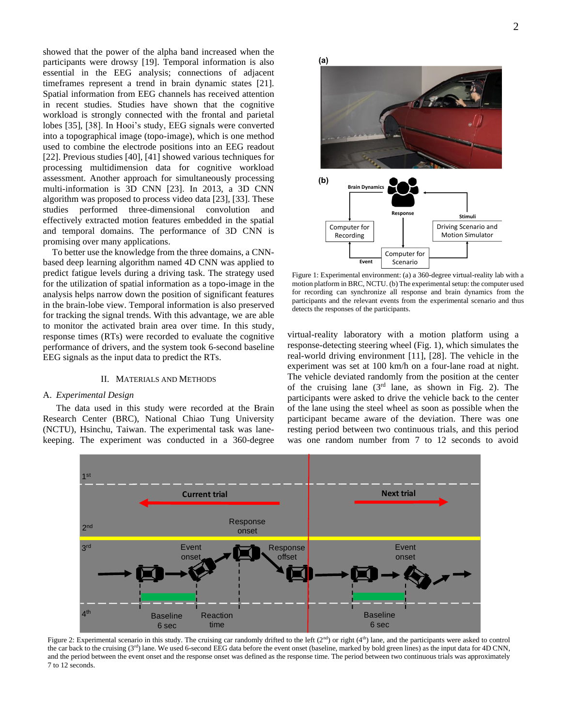showed that the power of the alpha band increased when the participants were drowsy [19]. Temporal information is also essential in the EEG analysis; connections of adjacent timeframes represent a trend in brain dynamic states [21]. Spatial information from EEG channels has received attention in recent studies. Studies have shown that the cognitive workload is strongly connected with the frontal and parietal lobes [35], [38]. In Hooi's study, EEG signals were converted into a topographical image (topo-image), which is one method used to combine the electrode positions into an EEG readout [22]. Previous studies [40], [41] showed various techniques for processing multidimension data for cognitive workload assessment. Another approach for simultaneously processing multi-information is 3D CNN [23]. In 2013, a 3D CNN algorithm was proposed to process video data [23], [33]. These studies performed three-dimensional convolution and effectively extracted motion features embedded in the spatial and temporal domains. The performance of 3D CNN is promising over many applications.

To better use the knowledge from the three domains, a CNNbased deep learning algorithm named 4D CNN was applied to predict fatigue levels during a driving task. The strategy used for the utilization of spatial information as a topo-image in the analysis helps narrow down the position of significant features in the brain-lobe view. Temporal information is also preserved for tracking the signal trends. With this advantage, we are able to monitor the activated brain area over time. In this study, response times (RTs) were recorded to evaluate the cognitive performance of drivers, and the system took 6-second baseline EEG signals as the input data to predict the RTs.

#### II. MATERIALS AND METHODS

## A. *Experimental Design*

The data used in this study were recorded at the Brain Research Center (BRC), National Chiao Tung University (NCTU), Hsinchu, Taiwan. The experimental task was lanekeeping. The experiment was conducted in a 360-degree **(a)**



Figure 1: Experimental environment: (a) a 360-degree virtual-reality lab with a motion platform in BRC, NCTU. (b) The experimental setup: the computer used for recording can synchronize all response and brain dynamics from the participants and the relevant events from the experimental scenario and thus detects the responses of the participants.

virtual-reality laboratory with a motion platform using a response-detecting steering wheel (Fig. 1), which simulates the real-world driving environment [11], [28]. The vehicle in the experiment was set at 100 km/h on a four-lane road at night. The vehicle deviated randomly from the position at the center of the cruising lane  $(3<sup>rd</sup>$  lane, as shown in Fig. 2). The participants were asked to drive the vehicle back to the center of the lane using the steel wheel as soon as possible when the participant became aware of the deviation. There was one resting period between two continuous trials, and this period was one random number from 7 to 12 seconds to avoid



Figure 2: Experimental scenario in this study. The cruising car randomly drifted to the left (2<sup>nd</sup>) or right (4<sup>th</sup>) lane, and the participants were asked to control the car back to the cruising (3<sup>rd</sup>) lane. We used 6-second EEG data before the event onset (baseline, marked by bold green lines) as the input data for 4D CNN, and the period between the event onset and the response onset was defined as the response time. The period between two continuous trials was approximately 7 to 12 seconds.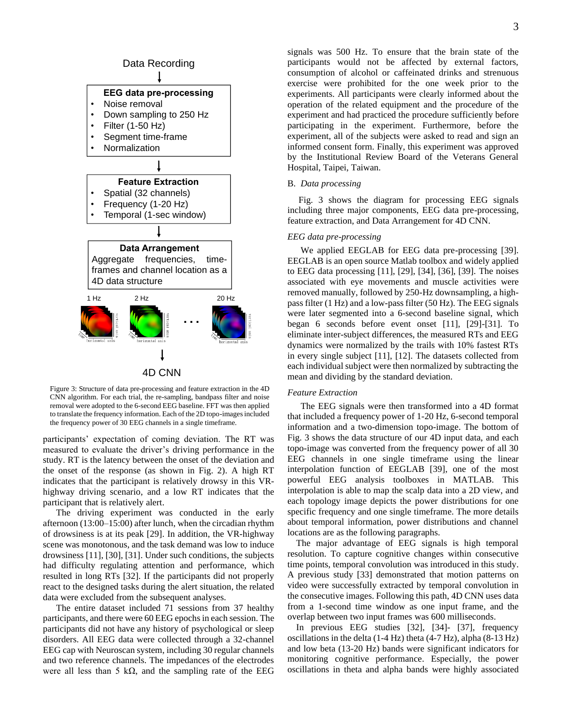

Figure 3: Structure of data pre-processing and feature extraction in the 4D CNN algorithm. For each trial, the re-sampling, bandpass filter and noise removal were adopted to the 6-second EEG baseline. FFT was then applied to translate the frequency information. Each of the 2D topo-images included the frequency power of 30 EEG channels in a single timeframe.

participants' expectation of coming deviation. The RT was measured to evaluate the driver's driving performance in the study. RT is the latency between the onset of the deviation and the onset of the response (as shown in Fig. 2). A high RT indicates that the participant is relatively drowsy in this VRhighway driving scenario, and a low RT indicates that the participant that is relatively alert.

The driving experiment was conducted in the early afternoon (13:00–15:00) after lunch, when the circadian rhythm of drowsiness is at its peak [29]. In addition, the VR-highway scene was monotonous, and the task demand was low to induce drowsiness [11], [30], [31]. Under such conditions, the subjects had difficulty regulating attention and performance, which resulted in long RTs [32]. If the participants did not properly react to the designed tasks during the alert situation, the related data were excluded from the subsequent analyses.

The entire dataset included 71 sessions from 37 healthy participants, and there were 60 EEG epochs in each session. The participants did not have any history of psychological or sleep disorders. All EEG data were collected through a 32-channel EEG cap with Neuroscan system, including 30 regular channels and two reference channels. The impedances of the electrodes were all less than 5 kΩ, and the sampling rate of the EEG

signals was 500 Hz. To ensure that the brain state of the participants would not be affected by external factors, consumption of alcohol or caffeinated drinks and strenuous exercise were prohibited for the one week prior to the experiments. All participants were clearly informed about the operation of the related equipment and the procedure of the experiment and had practiced the procedure sufficiently before participating in the experiment. Furthermore, before the experiment, all of the subjects were asked to read and sign an informed consent form. Finally, this experiment was approved by the Institutional Review Board of the Veterans General Hospital, Taipei, Taiwan.

# B. *Data processing*

 Fig. 3 shows the diagram for processing EEG signals including three major components, EEG data pre-processing, feature extraction, and Data Arrangement for 4D CNN.

# *EEG data pre-processing*

We applied EEGLAB for EEG data pre-processing [39]. EEGLAB is an open source Matlab toolbox and widely applied to EEG data processing [11], [29], [34], [36], [39]. The noises associated with eye movements and muscle activities were removed manually, followed by 250-Hz downsampling, a highpass filter (1 Hz) and a low-pass filter (50 Hz). The EEG signals were later segmented into a 6-second baseline signal, which began 6 seconds before event onset [11], [29]-[31]. To eliminate inter-subject differences, the measured RTs and EEG dynamics were normalized by the trails with 10% fastest RTs in every single subject [11], [12]. The datasets collected from each individual subject were then normalized by subtracting the mean and dividing by the standard deviation.

#### *Feature Extraction*

The EEG signals were then transformed into a 4D format that included a frequency power of 1-20 Hz, 6-second temporal information and a two-dimension topo-image. The bottom of Fig. 3 shows the data structure of our 4D input data, and each topo-image was converted from the frequency power of all 30 EEG channels in one single timeframe using the linear interpolation function of EEGLAB [39], one of the most powerful EEG analysis toolboxes in MATLAB. This interpolation is able to map the scalp data into a 2D view, and each topology image depicts the power distributions for one specific frequency and one single timeframe. The more details about temporal information, power distributions and channel locations are as the following paragraphs.

 The major advantage of EEG signals is high temporal resolution. To capture cognitive changes within consecutive time points, temporal convolution was introduced in this study. A previous study [33] demonstrated that motion patterns on video were successfully extracted by temporal convolution in the consecutive images. Following this path, 4D CNN uses data from a 1-second time window as one input frame, and the overlap between two input frames was 600 milliseconds.

 In previous EEG studies [32], [34]- [37], frequency oscillations in the delta (1-4 Hz) theta (4-7 Hz), alpha (8-13 Hz) and low beta (13-20 Hz) bands were significant indicators for monitoring cognitive performance. Especially, the power oscillations in theta and alpha bands were highly associated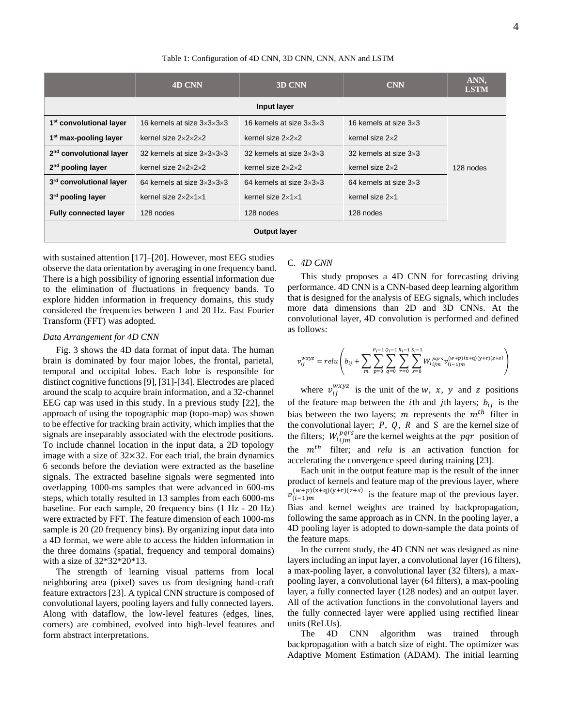Table 1: Configuration of 4D CNN, 3D CNN, CNN, ANN and LSTM

|                                     | 4D CNN                                      | 3D CNN                                                   | <b>CNN</b>                    | ANN.<br><b>LSTM</b> |  |  |  |  |  |
|-------------------------------------|---------------------------------------------|----------------------------------------------------------|-------------------------------|---------------------|--|--|--|--|--|
| Input layer                         |                                             |                                                          |                               |                     |  |  |  |  |  |
| 1 <sup>st</sup> convolutional layer | 16 kernels at size $3\times3\times3\times3$ | 16 kernels at size $3\times3\times3$                     | 16 kernels at size $3\times3$ |                     |  |  |  |  |  |
| 1 <sup>st</sup> max-pooling layer   | kernel size $2\times2\times2\times2$        | kernel size $2\times2\times2$                            | kernel size $2\times 2$       |                     |  |  |  |  |  |
| 2 <sup>nd</sup> convolutional layer | 32 kernels at size $3\times3\times3\times3$ | 32 kernels at size $3\times3\times3$                     | 32 kernels at size $3\times3$ |                     |  |  |  |  |  |
| $2nd$ pooling layer                 | kernel size $2\times2\times2\times2$        | kernel size $2\times 2$<br>kernel size $2\times2\times2$ |                               | 128 nodes           |  |  |  |  |  |
| 3rd convolutional layer             | 64 kernels at size $3\times3\times3\times3$ |                                                          | 64 kernels at size $3\times3$ |                     |  |  |  |  |  |
| 3 <sup>rd</sup> pooling layer       | kernel size $2\times2\times1\times1$        |                                                          | kernel size $2\times1$        |                     |  |  |  |  |  |
| <b>Fully connected layer</b>        | 128 nodes                                   | 128 nodes                                                | 128 nodes                     |                     |  |  |  |  |  |
| <b>Output layer</b>                 |                                             |                                                          |                               |                     |  |  |  |  |  |

with sustained attention [17]–[20]. However, most EEG studies observe the data orientation by averaging in one frequency band. There is a high possibility of ignoring essential information due to the elimination of fluctuations in frequency bands. To explore hidden information in frequency domains, this study considered the frequencies between 1 and 20 Hz. Fast Fourier Transform (FFT) was adopted.

#### *Data Arrangement for 4D CNN*

Fig. 3 shows the 4D data format of input data. The human brain is dominated by four major lobes, the frontal, parietal, temporal and occipital lobes. Each lobe is responsible for distinct cognitive functions [9], [31]-[34]. Electrodes are placed around the scalp to acquire brain information, and a 32-channel EEG cap was used in this study. In a previous study [22], the approach of using the topographic map (topo-map) was shown to be effective for tracking brain activity, which implies that the signals are inseparably associated with the electrode positions. To include channel location in the input data, a 2D topology image with a size of  $32\times32$ . For each trial, the brain dynamics 6 seconds before the deviation were extracted as the baseline signals. The extracted baseline signals were segmented into overlapping 1000-ms samples that were advanced in 600-ms steps, which totally resulted in 13 samples from each 6000-ms baseline. For each sample, 20 frequency bins (1 Hz - 20 Hz) were extracted by FFT. The feature dimension of each 1000-ms sample is 20 (20 frequency bins). By organizing input data into a 4D format, we were able to access the hidden information in the three domains (spatial, frequency and temporal domains) with a size of 32\*32\*20\*13.

The strength of learning visual patterns from local neighboring area (pixel) saves us from designing hand-craft feature extractors [23]. A typical CNN structure is composed of convolutional layers, pooling layers and fully connected layers. Along with dataflow, the low-level features (edges, lines, corners) are combined, evolved into high-level features and form abstract interpretations.

## C. *4D CNN*

This study proposes a 4D CNN for forecasting driving performance. 4D CNN is a CNN-based deep learning algorithm that is designed for the analysis of EEG signals, which includes more data dimensions than 2D and 3D CNNs. At the convolutional layer, 4D convolution is performed and defined as follows:

$$
v_{ij}^{wxyz} = relu\left(b_{ij} + \sum_{m} \sum_{p=0}^{P_i - 1} \sum_{q=0}^{Q_i - 1} \sum_{r=0}^{R_i - 1} \sum_{s=0}^{S_i - 1} W_{i \, j \, m}^{pqrs} v_{(i-1)m}^{(w+p)(x+q)(y+r)(z+s)}\right)
$$

where  $v_{ij}^{wxyz}$  is the unit of the w, x, y and z positions of the feature map between the *i*th and *j*th layers;  $b_{ij}$  is the bias between the two layers; *m* represents the  $m^{th}$  filter in the convolutional layer;  $P$ ,  $Q$ ,  $R$  and  $S$  are the kernel size of the filters;  $W_{i j j m}^{pqrs}$  are the kernel weights at the  $pq r$  position of the  $m<sup>th</sup>$  filter; and *relu* is an activation function for accelerating the convergence speed during training [23].

Each unit in the output feature map is the result of the inner product of kernels and feature map of the previous layer, where  $v_{(i-1)m}^{(w+p)(x+q)(y+r)(z+s)}$  is the feature map of the previous layer. Bias and kernel weights are trained by backpropagation, following the same approach as in CNN. In the pooling layer, a 4D pooling layer is adopted to down-sample the data points of the feature maps.

In the current study, the 4D CNN net was designed as nine layers including an input layer, a convolutional layer (16 filters), a max-pooling layer, a convolutional layer (32 filters), a maxpooling layer, a convolutional layer (64 filters), a max-pooling layer, a fully connected layer (128 nodes) and an output layer. All of the activation functions in the convolutional layers and the fully connected layer were applied using rectified linear units (ReLUs).

The 4D CNN algorithm was trained through backpropagation with a batch size of eight. The optimizer was Adaptive Moment Estimation (ADAM). The initial learning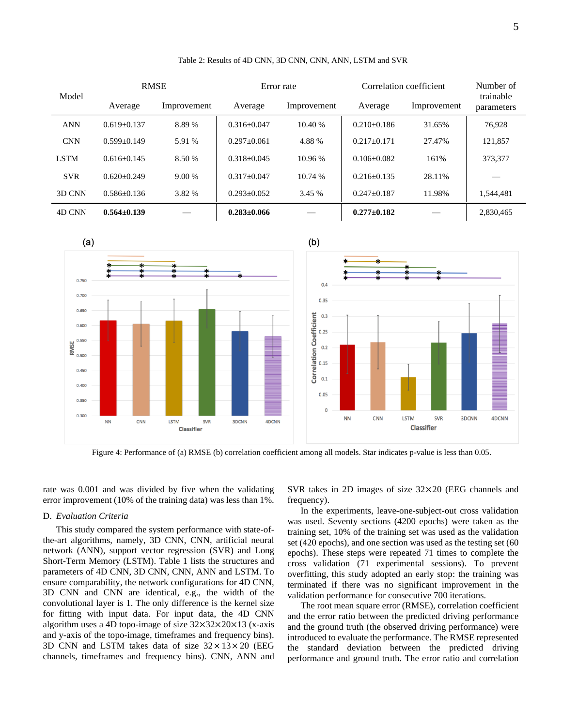| Model       | <b>RMSE</b>       |             | Error rate        |             | Correlation coefficient |             | Number of<br>trainable |
|-------------|-------------------|-------------|-------------------|-------------|-------------------------|-------------|------------------------|
|             | Average           | Improvement | Average           | Improvement | Average                 | Improvement | parameters             |
| <b>ANN</b>  | $0.619 + 0.137$   | 8.89 %      | $0.316 + 0.047$   | 10.40%      | $0.210 + 0.186$         | 31.65%      | 76.928                 |
| <b>CNN</b>  | $0.599+0.149$     | 5.91 %      | $0.297+0.061$     | 4.88 %      | $0.217 + 0.171$         | 27.47%      | 121.857                |
| <b>LSTM</b> | $0.616 + 0.145$   | 8.50 %      | $0.318 + 0.045$   | 10.96 %     | $0.106 + 0.082$         | 161%        | 373,377                |
| <b>SVR</b>  | $0.620 + 0.249$   | $9.00\%$    | $0.317 + 0.047$   | 10.74 %     | $0.216 + 0.135$         | 28.11%      |                        |
| 3D CNN      | $0.586 + 0.136$   | 3.82 %      | $0.293 + 0.052$   | 3.45 %      | $0.247 + 0.187$         | 11.98%      | 1.544.481              |
| 4D CNN      | $0.564 \pm 0.139$ |             | $0.283 \pm 0.066$ |             | $0.277 \pm 0.182$       |             | 2,830,465              |

Table 2: Results of 4D CNN, 3D CNN, CNN, ANN, LSTM and SVR



Figure 4: Performance of (a) RMSE (b) correlation coefficient among all models. Star indicates p-value is less than 0.05.

rate was 0.001 and was divided by five when the validating error improvement (10% of the training data) was less than 1%.

### D. *Evaluation Criteria*

This study compared the system performance with state-ofthe-art algorithms, namely, 3D CNN, CNN, artificial neural network (ANN), support vector regression (SVR) and Long Short-Term Memory (LSTM). Table 1 lists the structures and parameters of 4D CNN, 3D CNN, CNN, ANN and LSTM. To ensure comparability, the network configurations for 4D CNN, 3D CNN and CNN are identical, e.g., the width of the convolutional layer is 1. The only difference is the kernel size for fitting with input data. For input data, the 4D CNN algorithm uses a 4D topo-image of size 32×32×20×13 (x-axis and y-axis of the topo-image, timeframes and frequency bins). 3D CNN and LSTM takes data of size  $32 \times 13 \times 20$  (EEG channels, timeframes and frequency bins). CNN, ANN and SVR takes in 2D images of size 32×20 (EEG channels and frequency).

In the experiments, leave-one-subject-out cross validation was used. Seventy sections (4200 epochs) were taken as the training set, 10% of the training set was used as the validation set (420 epochs), and one section was used as the testing set (60 epochs). These steps were repeated 71 times to complete the cross validation (71 experimental sessions). To prevent overfitting, this study adopted an early stop: the training was terminated if there was no significant improvement in the validation performance for consecutive 700 iterations.

The root mean square error (RMSE), correlation coefficient and the error ratio between the predicted driving performance and the ground truth (the observed driving performance) were introduced to evaluate the performance. The RMSE represented the standard deviation between the predicted driving performance and ground truth. The error ratio and correlation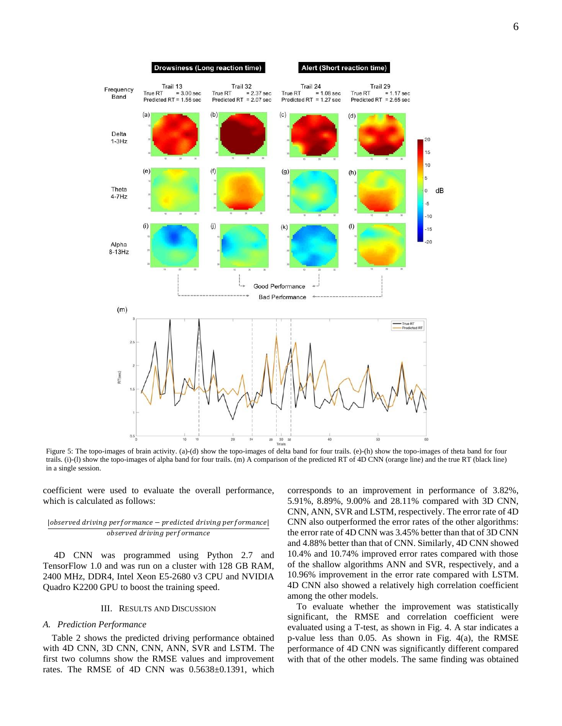

Figure 5: The topo-images of brain activity. (a)-(d) show the topo-images of delta band for four trails. (e)-(h) show the topo-images of theta band for four trails. (i)-(l) show the topo-images of alpha band for four trails. (m) A comparison of the predicted RT of 4D CNN (orange line) and the true RT (black line) in a single session.

coefficient were used to evaluate the overall performance, which is calculated as follows:

## | observed driving performance - predicted driving performance observed driving performance

 4D CNN was programmed using Python 2.7 and TensorFlow 1.0 and was run on a cluster with 128 GB RAM, 2400 MHz, DDR4, Intel Xeon E5-2680 v3 CPU and NVIDIA Quadro K2200 GPU to boost the training speed.

## III. RESULTS AND DISCUSSION

#### *A. Prediction Performance*

 Table 2 shows the predicted driving performance obtained with 4D CNN, 3D CNN, CNN, ANN, SVR and LSTM. The first two columns show the RMSE values and improvement rates. The RMSE of 4D CNN was 0.5638±0.1391, which

corresponds to an improvement in performance of 3.82%, 5.91%, 8.89%, 9.00% and 28.11% compared with 3D CNN, CNN, ANN, SVR and LSTM, respectively. The error rate of 4D CNN also outperformed the error rates of the other algorithms: the error rate of 4D CNN was 3.45% better than that of 3D CNN and 4.88% better than that of CNN. Similarly, 4D CNN showed 10.4% and 10.74% improved error rates compared with those of the shallow algorithms ANN and SVR, respectively, and a 10.96% improvement in the error rate compared with LSTM. 4D CNN also showed a relatively high correlation coefficient among the other models.

To evaluate whether the improvement was statistically significant, the RMSE and correlation coefficient were evaluated using a T-test, as shown in Fig. 4. A star indicates a p-value less than 0.05. As shown in Fig. 4(a), the RMSE performance of 4D CNN was significantly different compared with that of the other models. The same finding was obtained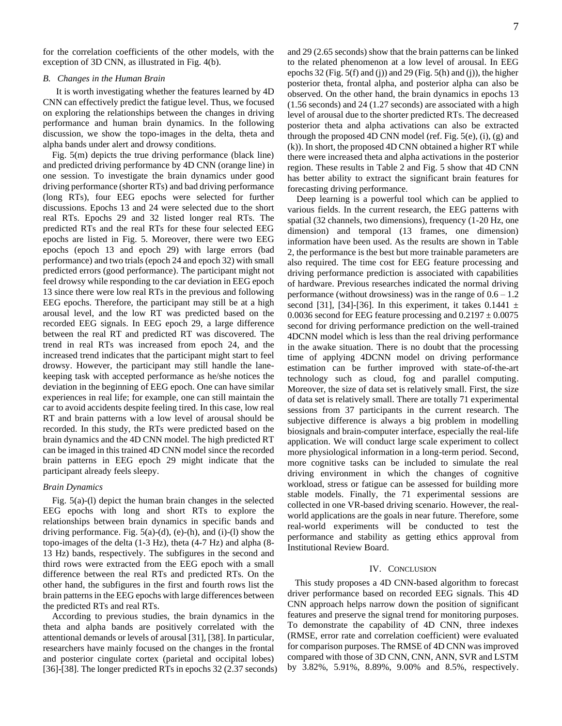for the correlation coefficients of the other models, with the exception of 3D CNN, as illustrated in Fig. 4(b).

# *B. Changes in the Human Brain*

It is worth investigating whether the features learned by 4D CNN can effectively predict the fatigue level. Thus, we focused on exploring the relationships between the changes in driving performance and human brain dynamics. In the following discussion, we show the topo-images in the delta, theta and alpha bands under alert and drowsy conditions.

Fig. 5(m) depicts the true driving performance (black line) and predicted driving performance by 4D CNN (orange line) in one session. To investigate the brain dynamics under good driving performance (shorter RTs) and bad driving performance (long RTs), four EEG epochs were selected for further discussions. Epochs 13 and 24 were selected due to the short real RTs. Epochs 29 and 32 listed longer real RTs. The predicted RTs and the real RTs for these four selected EEG epochs are listed in Fig. 5. Moreover, there were two EEG epochs (epoch 13 and epoch 29) with large errors (bad performance) and two trials (epoch 24 and epoch 32) with small predicted errors (good performance). The participant might not feel drowsy while responding to the car deviation in EEG epoch 13 since there were low real RTs in the previous and following EEG epochs. Therefore, the participant may still be at a high arousal level, and the low RT was predicted based on the recorded EEG signals. In EEG epoch 29, a large difference between the real RT and predicted RT was discovered. The trend in real RTs was increased from epoch 24, and the increased trend indicates that the participant might start to feel drowsy. However, the participant may still handle the lanekeeping task with accepted performance as he/she notices the deviation in the beginning of EEG epoch. One can have similar experiences in real life; for example, one can still maintain the car to avoid accidents despite feeling tired. In this case, low real RT and brain patterns with a low level of arousal should be recorded. In this study, the RTs were predicted based on the brain dynamics and the 4D CNN model. The high predicted RT can be imaged in this trained 4D CNN model since the recorded brain patterns in EEG epoch 29 might indicate that the participant already feels sleepy.

#### *Brain Dynamics*

Fig. 5(a)-(l) depict the human brain changes in the selected EEG epochs with long and short RTs to explore the relationships between brain dynamics in specific bands and driving performance. Fig.  $5(a)-(d)$ ,  $(e)-(h)$ , and  $(i)-(l)$  show the topo-images of the delta (1-3 Hz), theta (4-7 Hz) and alpha (8- 13 Hz) bands, respectively. The subfigures in the second and third rows were extracted from the EEG epoch with a small difference between the real RTs and predicted RTs. On the other hand, the subfigures in the first and fourth rows list the brain patterns in the EEG epochs with large differences between the predicted RTs and real RTs.

According to previous studies, the brain dynamics in the theta and alpha bands are positively correlated with the attentional demands or levels of arousal [31], [38]. In particular, researchers have mainly focused on the changes in the frontal and posterior cingulate cortex (parietal and occipital lobes) [36]-[38]. The longer predicted RTs in epochs 32 (2.37 seconds) and 29 (2.65 seconds) show that the brain patterns can be linked to the related phenomenon at a low level of arousal. In EEG epochs 32 (Fig. 5(f) and (j)) and 29 (Fig. 5(h) and (j)), the higher posterior theta, frontal alpha, and posterior alpha can also be observed. On the other hand, the brain dynamics in epochs 13 (1.56 seconds) and 24 (1.27 seconds) are associated with a high level of arousal due to the shorter predicted RTs. The decreased posterior theta and alpha activations can also be extracted through the proposed 4D CNN model (ref. Fig. 5(e), (i), (g) and (k)). In short, the proposed 4D CNN obtained a higher RT while there were increased theta and alpha activations in the posterior region. These results in Table 2 and Fig. 5 show that 4D CNN has better ability to extract the significant brain features for forecasting driving performance.

Deep learning is a powerful tool which can be applied to various fields. In the current research, the EEG patterns with spatial (32 channels, two dimensions), frequency (1-20 Hz, one dimension) and temporal (13 frames, one dimension) information have been used. As the results are shown in Table 2, the performance is the best but more trainable parameters are also required. The time cost for EEG feature processing and driving performance prediction is associated with capabilities of hardware. Previous researches indicated the normal driving performance (without drowsiness) was in the range of  $0.6 - 1.2$ second [31], [34]-[36]. In this experiment, it takes  $0.1441 \pm$ 0.0036 second for EEG feature processing and  $0.2197 \pm 0.0075$ second for driving performance prediction on the well-trained 4DCNN model which is less than the real driving performance in the awake situation. There is no doubt that the processing time of applying 4DCNN model on driving performance estimation can be further improved with state-of-the-art technology such as cloud, fog and parallel computing. Moreover, the size of data set is relatively small. First, the size of data set is relatively small. There are totally 71 experimental sessions from 37 participants in the current research. The subjective difference is always a big problem in modelling biosignals and brain-computer interface, especially the real-life application. We will conduct large scale experiment to collect more physiological information in a long-term period. Second, more cognitive tasks can be included to simulate the real driving environment in which the changes of cognitive workload, stress or fatigue can be assessed for building more stable models. Finally, the 71 experimental sessions are collected in one VR-based driving scenario. However, the realworld applications are the goals in near future. Therefore, some real-world experiments will be conducted to test the performance and stability as getting ethics approval from Institutional Review Board.

# IV. CONCLUSION

 This study proposes a 4D CNN-based algorithm to forecast driver performance based on recorded EEG signals. This 4D CNN approach helps narrow down the position of significant features and preserve the signal trend for monitoring purposes. To demonstrate the capability of 4D CNN, three indexes (RMSE, error rate and correlation coefficient) were evaluated for comparison purposes. The RMSE of 4D CNN was improved compared with those of 3D CNN, CNN, ANN, SVR and LSTM by 3.82%, 5.91%, 8.89%, 9.00% and 8.5%, respectively.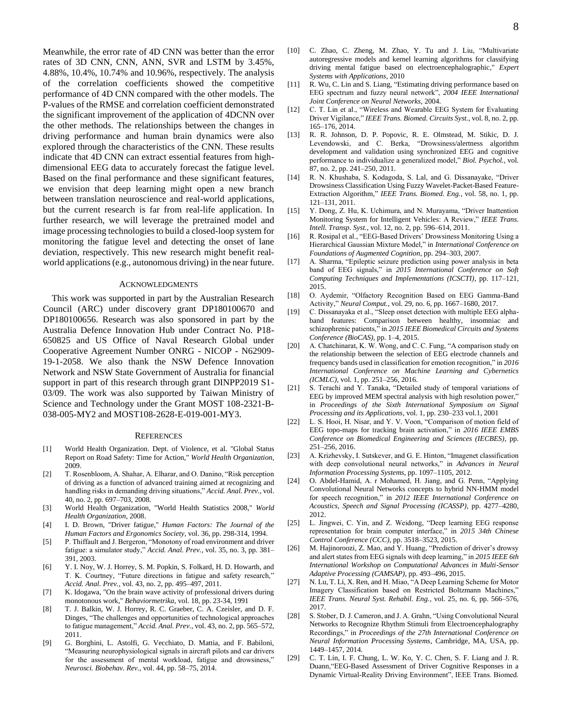Meanwhile, the error rate of 4D CNN was better than the error rates of 3D CNN, CNN, ANN, SVR and LSTM by 3.45%, 4.88%, 10.4%, 10.74% and 10.96%, respectively. The analysis of the correlation coefficients showed the competitive performance of 4D CNN compared with the other models. The P-values of the RMSE and correlation coefficient demonstrated the significant improvement of the application of 4DCNN over the other methods. The relationships between the changes in driving performance and human brain dynamics were also explored through the characteristics of the CNN. These results indicate that 4D CNN can extract essential features from highdimensional EEG data to accurately forecast the fatigue level. Based on the final performance and these significant features, we envision that deep learning might open a new branch between translation neuroscience and real-world applications, but the current research is far from real-life application. In further research, we will leverage the pretrained model and image processing technologies to build a closed-loop system for monitoring the fatigue level and detecting the onset of lane deviation, respectively. This new research might benefit realworld applications(e.g., autonomous driving) in the near future.

#### ACKNOWLEDGMENTS

 This work was supported in part by the Australian Research Council (ARC) under discovery grant DP180100670 and DP180100656. Research was also sponsored in part by the Australia Defence Innovation Hub under Contract No. P18- 650825 and US Office of Naval Research Global under Cooperative Agreement Number ONRG - NICOP - N62909- 19-1-2058. We also thank the NSW Defence Innovation Network and NSW State Government of Australia for financial support in part of this research through grant DINPP2019 S1- 03/09. The work was also supported by Taiwan Ministry of Science and Technology under the Grant MOST 108-2321-B-038-005-MY2 and MOST108-2628-E-019-001-MY3.

#### **REFERENCES**

- [1] World Health Organization. Dept. of Violence, et al. "Global Status Report on Road Safety: Time for Action," *World Health Organization*, 2009.
- [2] T. Rosenbloom, A. Shahar, A. Elharar, and O. Danino, "Risk perception of driving as a function of advanced training aimed at recognizing and handling risks in demanding driving situations," *Accid. Anal. Prev.*, vol. 40, no. 2, pp. 697–703, 2008.
- [3] World Health Organization, "World Health Statistics 2008," *World Health Organization*, 2008.
- [4] I. D. Brown, "Driver fatigue," *Human Factors: The Journal of the Human Factors and Ergonomics Society*, vol. 36, pp. 298-314, 1994.
- [5] P. Thiffault and J. Bergeron, "Monotony of road environment and driver fatigue: a simulator study," *Accid. Anal. Prev.*, vol. 35, no. 3, pp. 381– 391, 2003.
- [6] Y. I. Noy, W. J. Horrey, S. M. Popkin, S. Folkard, H. D. Howarth, and T. K. Courtney, "Future directions in fatigue and safety research," *Accid. Anal. Prev.*, vol. 43, no. 2, pp. 495–497, 2011.
- [7] K. Idogawa, "On the brain wave activity of professional drivers during monotonous work," *Behaviormetrika*, vol. 18, pp. 23-34, 1991
- [8] T. J. Balkin, W. J. Horrey, R. C. Graeber, C. A. Czeisler, and D. F. Dinges, "The challenges and opportunities of technological approaches to fatigue management," *Accid. Anal. Prev.*, vol. 43, no. 2, pp. 565–572, 2011.
- [9] G. Borghini, L. Astolfi, G. Vecchiato, D. Mattia, and F. Babiloni, "Measuring neurophysiological signals in aircraft pilots and car drivers for the assessment of mental workload, fatigue and drowsiness," *Neurosci. Biobehav. Rev.*, vol. 44, pp. 58–75, 2014.
- [10] C. Zhao, C. Zheng, M. Zhao, Y. Tu and J. Liu, "Multivariate autoregressive models and kernel learning algorithms for classifying driving mental fatigue based on electroencephalographic," *Expert Systems with Applications*, 2010
- [11] R. Wu, C. Lin and S. Liang, "Estimating driving performance based on EEG spectrum and fuzzy neural network", *2004 IEEE International Joint Conference on Neural Networks*, 2004.
- [12] C. T. Lin et al., "Wireless and Wearable EEG System for Evaluating Driver Vigilance," *IEEE Trans. Biomed. Circuits Syst.*, vol. 8, no. 2, pp. 165–176, 2014.
- [13] R. R. Johnson, D. P. Popovic, R. E. Olmstead, M. Stikic, D. J. Levendowski, and C. Berka, "Drowsiness/alertness algorithm development and validation using synchronized EEG and cognitive performance to individualize a generalized model," *Biol. Psychol.*, vol. 87, no. 2, pp. 241–250, 2011.
- [14] R. N. Khushaba, S. Kodagoda, S. Lal, and G. Dissanayake, "Driver Drowsiness Classification Using Fuzzy Wavelet-Packet-Based Feature-Extraction Algorithm," *IEEE Trans. Biomed. Eng.*, vol. 58, no. 1, pp. 121–131, 2011.
- [15] Y. Dong, Z. Hu, K. Uchimura, and N. Murayama, "Driver Inattention Monitoring System for Intelligent Vehicles: A Review," *IEEE Trans. Intell. Transp. Syst.*, vol. 12, no. 2, pp. 596–614, 2011.
- [16] R. Rosipal et al., "EEG-Based Drivers' Drowsiness Monitoring Using a Hierarchical Gaussian Mixture Model," in *International Conference on Foundations of Augmented Cognition*, pp. 294–303, 2007.
- [17] A. Sharma, "Epileptic seizure prediction using power analysis in beta band of EEG signals," in *2015 International Conference on Soft Computing Techniques and Implementations (ICSCTI)*, pp. 117–121, 2015.
- [18] O. Aydemir, "Olfactory Recognition Based on EEG Gamma-Band Activity," *Neural Comput.*, vol. 29, no. 6, pp. 1667–1680, 2017.
- [19] C. Dissanayaka et al., "Sleep onset detection with multiple EEG alphaband features: Comparison between healthy, insomniac and schizophrenic patients," in *2015 IEEE Biomedical Circuits and Systems Conference (BioCAS)*, pp. 1–4, 2015.
- [20] A. Chatchinarat, K. W. Wong, and C. C. Fung, "A comparison study on the relationship between the selection of EEG electrode channels and frequency bands used in classification for emotion recognition," in *2016 International Conference on Machine Learning and Cybernetics (ICMLC)*, vol. 1, pp. 251–256, 2016.
- [21] S. Terachi and Y. Tanaka, "Detailed study of temporal variations of EEG by improved MEM spectral analysis with high resolution power, in *Proceedings of the Sixth International Symposium on Signal Processing and its Applications*, vol. 1, pp. 230–233 vol.1, 2001
- [22] L. S. Hooi, H. Nisar, and Y. V. Voon, "Comparison of motion field of EEG topo-maps for tracking brain activation," in *2016 IEEE EMBS Conference on Biomedical Engineering and Sciences (IECBES)*, pp. 251–256, 2016.
- [23] A. Krizhevsky, I. Sutskever, and G. E. Hinton, "Imagenet classification with deep convolutional neural networks," in *Advances in Neural Information Processing Systems*, pp. 1097–1105, 2012.
- [24] O. Abdel-Hamid, A. r Mohamed, H. Jiang, and G. Penn, "Applying Convolutional Neural Networks concepts to hybrid NN-HMM model for speech recognition," in *2012 IEEE International Conference on Acoustics, Speech and Signal Processing (ICASSP)*, pp. 4277–4280, 2012.
- [25] L. Jingwei, C. Yin, and Z. Weidong, "Deep learning EEG response representation for brain computer interface," in *2015 34th Chinese Control Conference (CCC)*, pp. 3518–3523, 2015.
- [26] M. Hajinoroozi, Z. Mao, and Y. Huang, "Prediction of driver's drowsy and alert states from EEG signals with deep learning," in *2015 IEEE 6th International Workshop on Computational Advances in Multi-Sensor Adaptive Processing (CAMSAP)*, pp. 493–496, 2015.
- [27] N. Lu, T. Li, X. Ren, and H. Miao, "A Deep Learning Scheme for Motor Imagery Classification based on Restricted Boltzmann Machines," *IEEE Trans. Neural Syst. Rehabil. Eng.*, vol. 25, no. 6, pp. 566–576, 2017.
- [28] S. Stober, D. J. Cameron, and J. A. Grahn, "Using Convolutional Neural Networks to Recognize Rhythm Stimuli from Electroencephalography Recordings," in *Proceedings of the 27th International Conference on Neural Information Processing Systems*, Cambridge, MA, USA, pp. 1449–1457, 2014.
- [29] C. T. Lin, I. F. Chung, L. W. Ko, Y. C. Chen, S. F. Liang and J. R. Duann,"EEG-Based Assessment of Driver Cognitive Responses in a Dynamic Virtual-Reality Driving Environment", IEEE Trans. Biomed.